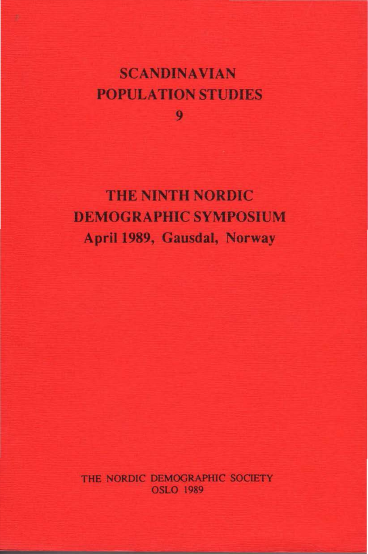# **SCANDINAVIAN POPULATION STUDIES**

9

**THE NINTH NORDIC DEMOGRAPHIC SYMPOSIUM** April 1989, Gausdal, Norway

> THE NORDIC DEMOGRAPHIC SOCIETY **OSLO 1989**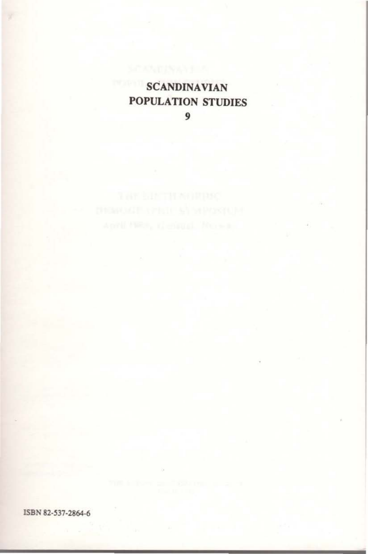### **SCANDINAVIAN** POPULATION STUDIES 9

ISBN 82-537-2864-6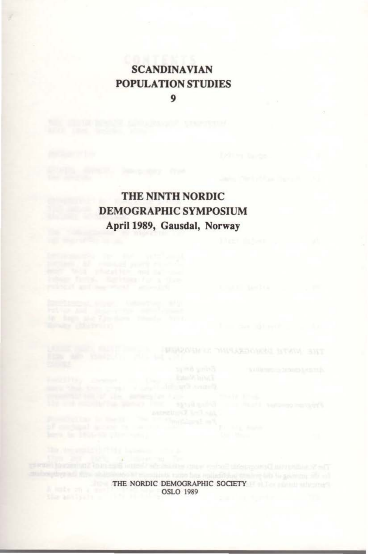## **SCANDINAVIAN** POPULA TION STUDIES

9

### THE NINTH NORDIC DEMOGRAPHIC SYMPOSIUM April 1989, Gausdal, Norway

THE NORDIC DEMOGRAPHIC SOCIETY OSLO 1989

Man and Jack a laborate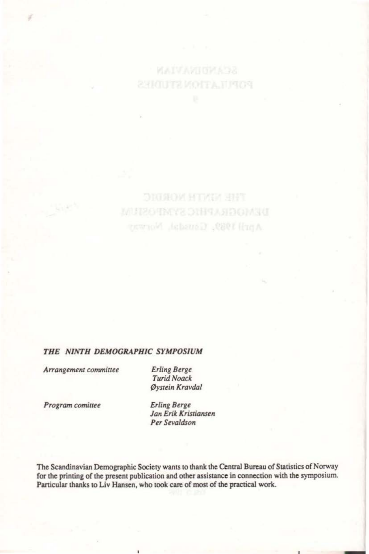#### *THE NINTH DEMOGRAPHIC SYMPOSIUM*

*Arrangemenr commitree* 

*Erling Berge TuridNoack Øysrein Kravdal* 

*Program comittee* 

*Erling Berge Jan Erik Krisriansen*  Per Sevaldson

The Scandinavian Demographic Society wants to thank the Central Bureau of Statistics of Norway for the printing of the present publication and other assistance in connection with the symposium. Particular thanks to Liv Hansen, who took care of most of the practical work.

-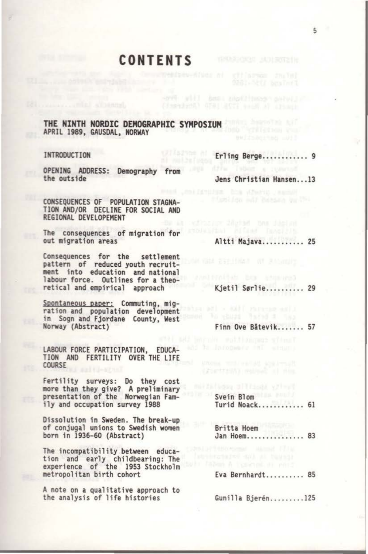### **CONTENTS**

THE NINTH NORDIC DEMOGRAPHIC SYMPOSIUM APRIL 1989, GAUSDAL, NORWAY

INTRODUCTION

OPENING ADDRESS: Demography from the outside

Jens Christian Hansen...13

ment instruction has iffering reguli-

CONSEQUENCES OF POPULATION STAGNA-TION AND/OR DECLINE FOR SOCIAL AND REGIONAL DEVELOPEMENT

The consequences of migration for out migration areas

Consequences for the settlement<br>pattern of reduced youth recruit-<br>ment into education and national labour force. Outlines for a theoretical and empirical approach

Spontaneous paper: Commuting, mig-<br>ration and population development<br>in Sogn and Fjordane County, West Norway (Abstract)

LABOUR FORCE PARTICIPATION, EDUCA-TION AND FERTILITY OVER THE LIFE COURSE **COURSE** 

Fertility surveys: Do they cost<br>more than they give? A preliminary<br>presentation of the Norwegian Fam- Svein Blom ily and occupation survey 1988

Dissolution in Sweden. The break-up<br>of conjugal unions to Swedish women born in 1936-60 (Abstract)

The incompatibility between education and early childbearing: The<br>experience of the 1953 Stockholm metropolitan birth cohort

A note on a qualitative approach to the analysis of life histories

Altti Majava........... 25

Kjetil Sørlie.......... 29

Finn Ove Båtevik....... 57

Turid Noack............ 61

Britta Hoem Britta Hoem<br>Jan Hoem............... 83

Eva Bernhardt.......... 85

Gunilla Bjerén.........125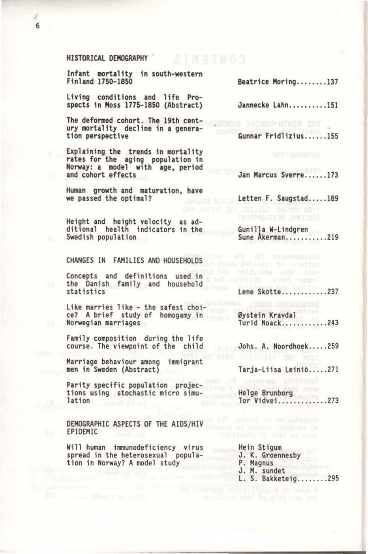#### HISTORICAL DEMOGRAPHY

Infant mortality in south-western Finland 1750-1850

Living conditions and life Prospects in Moss 1775-1850 (Abstract)

The deformed cohort. The 19th century mortality decline in a genera-<br>tion perspective

Explaining the trends in mortality<br>rates for the aging population in Norway: a model with age, period and cohort effects

Human growth and maturation, have we passed the optimal?

Height and height velocity as additional health indicators in the Swedish population

CHANGES IN FAMILIES AND HOUSEHOLDS

Concepts and definitions used in the Danish family and household statistics

Like marries like - the safest choice? A brief study of homogamy in Norwegian marriages

Family composition during the life course. The viewpoint of the child

Marriage behaviour among immigrant men in Sweden (Abstract)

Parity specific population projections using stochastic micro simulation

DEMOGRAPHIC ASPECTS OF THE AIDS/HIV EPIDEMIC

Will human immunodeficiency virus spread in the heterosexual population in Norway? A model study

Beatrice Moring........137

Jannecke Lahn..........151

Gunnar Fridlizius......155

**LOTOSON ATRIX DET** 

Jan Marcus Sverre......173

Letten F. Saugstad.....189

Gunilla W-Lindgren Sune Akerman...........219

Lene Skotte............237

Øystein Kravdal<br>Turid Noack............243

Johs. A. Noordhoek.....259

Tarja-Liisa Leiniö.....271

Helge Brunborg<br>Tor Vidvei.............273

Hein Stigum J. K. Groennesby P. Magnus<br>J. M. sundet L. S. Bakketeig........295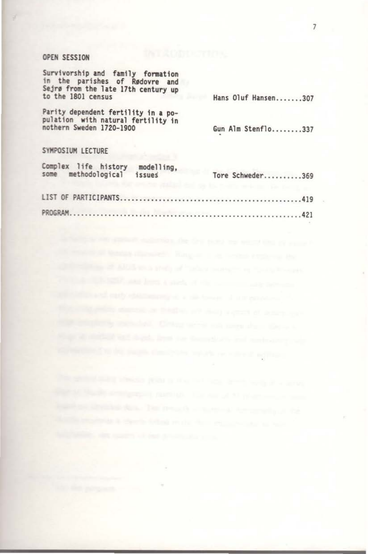#### OPEN SESSION

Survivorship and family formation<br>in the parishes of Rødovre and Sejrø from the late 17th century up to the 1801 census

Parity dependent fertility in a population with natural fertility in nothern Sweden 1720-1900

Hans Oluf Hansen.......307

Gun Alm Stenflo........337

#### SYMPOSIUM LECTURE

| Complex life history<br>some methodological | modelling,<br>issues | Tore Schweder369<br>where applied that the first matrix welcome the first pressure |  |
|---------------------------------------------|----------------------|------------------------------------------------------------------------------------|--|
|                                             |                      |                                                                                    |  |
|                                             |                      |                                                                                    |  |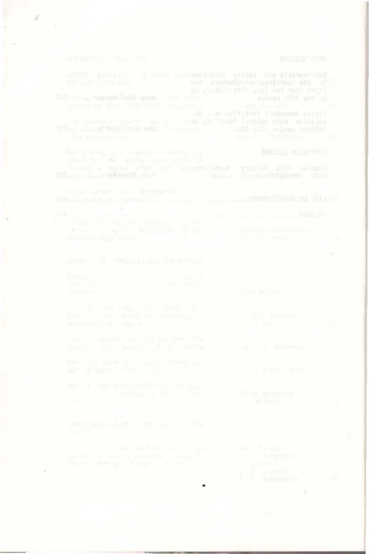Contract in the Contract of the Contract of Contract and Contract MARCON.<br>In 1980, and Contract on Marcon and the Contract of Contract of the Contract of Contract of the Contract of th<br>International Computer Chapters the C

 $\rightarrow$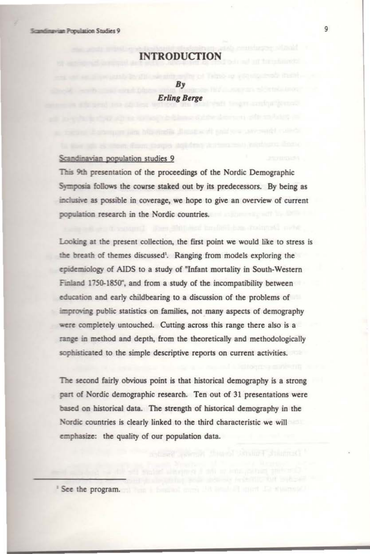### **INTRODUCTION**

 $Bv$ **Erling Berge** 

#### Scandinavian population studies 9

This 9th presentation of the proceedings of the Nordic Demographic Symposia follows the course staked out by its predecessors. By being as inclusive as possible in coverage, we hope to give an overview of current population research in the Nordic countries.

Looking at the present collection, the first point we would like to stress is the breath of themes discussed<sup>1</sup>. Ranging from models exploring the epidemiology of AIDS to a study of "Infant mortality in South-Western Finland 1750-1850", and from a study of the incompatibility between education and early childbearing to a discussion of the problems of improving public statistics on families, not many aspects of demography were completely untouched. Cutting across this range there also is a range in method and depth, from the theoretically and methodologically sophisticated to the simple descriptive reports on current activities.

The second fairly obvious point is that historical demography is a strong part of Nordic demographic research. Ten out of 31 presentations were based on historical data. The strength of historical demography in the Nordic countries is clearly linked to the third characteristic we will emphasize: the quality of our population data.

<sup>1</sup> See the program.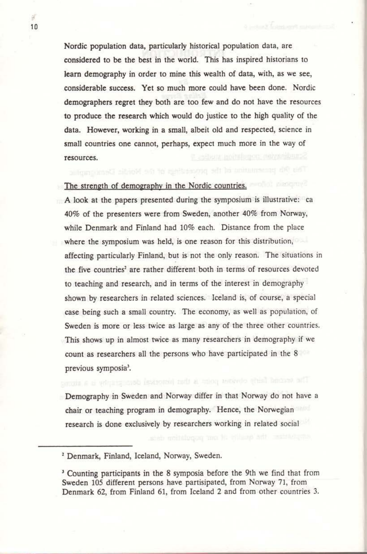Nordic population data, particularly historical population data, are considered to be the best in the world. This has inspired historians to Jeam demography in order to mine this wealth of data, with, as we see, considerable success. Yet so much more could have been done. Nordic demographers regret they both are too few and do not have the resources to produce the research which would do justice to the high quality of the data. However, working in a small, albeit old and respected, science in small countries one cannot, perhaps, expect much more in the way of resources

#### The strength of demography in the Nordic countries.

A look at the papers presented during the symposium is illustrative: ca 40% of the presentcrs were from Sweden, another 40% from Norway, while Denmark and Finland had 10% each. Distance from the place where the symposium was held, is one reason for this distribution, affecting particularly Finland, but is not the only reason. The situations in the five countries' are rather different both in terms of resources devoted to teaching and research, and in terms of the interest in demography shown by researchers in related sciences. Iceland is, of course, a special case being such a small country. The economy, as well as population, of Sweden is more or less twice as large as any of the three other countries. This shows up in almost twice as many researchers in demography if we count as researchers all the persons who have participated in the 8 previous symposia'.

Demography in Sweden and Norway differ in that Norway do not have a chair or teaching program in dernography. Hence, the Norwegian research is done exclusively by researchers working in related social

2 Denmark, Finland, lceland, Norway, Sweden.

<sup>&</sup>gt; Counting participants in the 8 symposia befare the 9th we find that from Sweden 105 different persons have partisipated, from Norway 71, from Denmark 62, from Finland 61, from Iceland 2 and from other countries 3.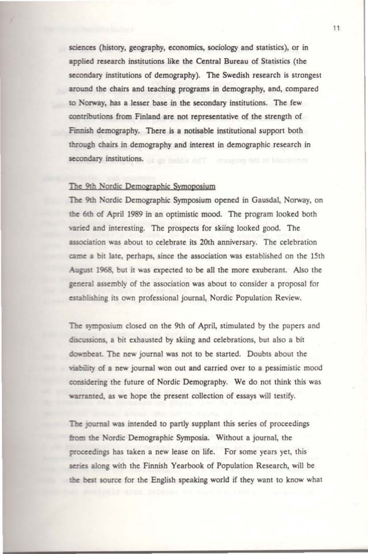sciences (history, geography, economics, sociology and statistics), or in applied research institutions like the Central Bureau of Statistics (the secondary institutions of demography). The Swedish research is strongest around the chairs and teaching programs in demography, and, compared to Norway, has a lesser base in the secondary institutions. The few contributions from Finland are not representative of the strength of Finnish demography. There is a notisable institutional support both through chairs in demography and interest in demographic research in secondary institutions.

#### The 9th Nordic Demographic Symoposium

Tbc 9th Nordic Demographic Symposium opened in Gausdal, Norway, on the 6th of April 1989 in an optimistic mood. The program looked both varied and interesting. The prospects for skiing looked good. The association was about to celebrate its 20th anniversary. The celebration came a bit late, perhaps, since the association was established on the 15th August 1968, but it was expected to be all the more exuberant. Also the general assembly of the association was about to consider a proposal for establishing its own professional journal, Nordic Population Review.

The symposium closed on the 9th of April, stimulated by the papers and 6scussions, a *bit* exhausted by skiing and celebrations, but also a bit downbeat. The new journal was not to be started. Doubts about the viability of a new journal won out and carried over to a pessimistic mood considering the future of Nordic Demography. We do not think this was warranted, as we hope the present collection of essays will testify.

The journal was intended to partly supplant this series of proceedings from the Nordic Demographic Symposia. Without a journal, the proceedings has taken a new lease on life. For some years yet, this series along with the Finnish Yearbook of Population Research, will be the best source for the English speaking world if they want to know what